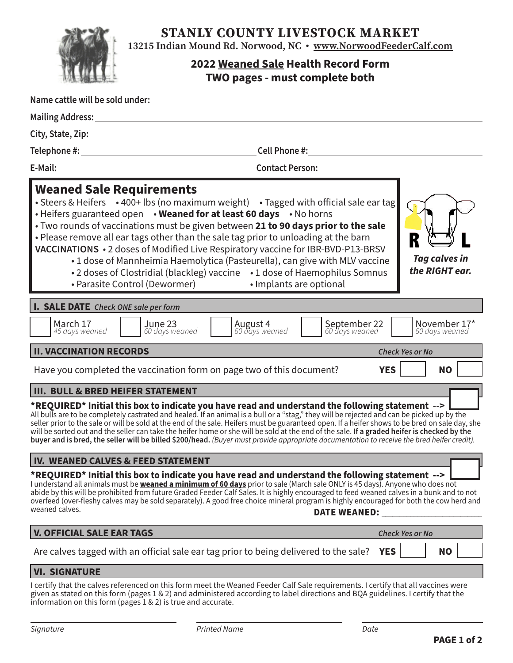STANLY COUNTY LIVESTOCK MARKET



13215 Indian Mound Rd. Norwood, NC • www.NorwoodFeederCalf.com

## **2022 Weaned Sale Health Record Form TWO pages - must complete both**

| Name cattle will be sold under:<br><b>Contract Contract Contract</b>                                                                                                                                                                                                                                                                                                                                                                                                                                                                                                                                                                                                                                                                           |  |  |  |
|------------------------------------------------------------------------------------------------------------------------------------------------------------------------------------------------------------------------------------------------------------------------------------------------------------------------------------------------------------------------------------------------------------------------------------------------------------------------------------------------------------------------------------------------------------------------------------------------------------------------------------------------------------------------------------------------------------------------------------------------|--|--|--|
|                                                                                                                                                                                                                                                                                                                                                                                                                                                                                                                                                                                                                                                                                                                                                |  |  |  |
|                                                                                                                                                                                                                                                                                                                                                                                                                                                                                                                                                                                                                                                                                                                                                |  |  |  |
|                                                                                                                                                                                                                                                                                                                                                                                                                                                                                                                                                                                                                                                                                                                                                |  |  |  |
| <b>Contact Person:</b>                                                                                                                                                                                                                                                                                                                                                                                                                                                                                                                                                                                                                                                                                                                         |  |  |  |
| <b>Weaned Sale Requirements</b><br>• Steers & Heifers •400+ lbs (no maximum weight) • Tagged with official sale ear tag<br>. Heifers guaranteed open . Weaned for at least 60 days . No horns<br>. Two rounds of vaccinations must be given between 21 to 90 days prior to the sale<br>. Please remove all ear tags other than the sale tag prior to unloading at the barn<br>VACCINATIONS • 2 doses of Modified Live Respiratory vaccine for IBR-BVD-P13-BRSV<br><b>Tag calves in</b><br>• 1 dose of Mannheimia Haemolytica (Pasteurella), can give with MLV vaccine<br>the RIGHT ear.<br>• 2 doses of Clostridial (blackleg) vaccine • 1 dose of Haemophilus Somnus<br>• Parasite Control (Dewormer) • Implants are optional                 |  |  |  |
| <b>I. SALE DATE</b> Check ONE sale per form                                                                                                                                                                                                                                                                                                                                                                                                                                                                                                                                                                                                                                                                                                    |  |  |  |
| March 17<br>June 23<br>September 22<br>60 days weaned<br><b>August 4</b><br>60 days weaned<br>November 17*<br>45 days weaned<br>60 days weaned<br>60 days weaned                                                                                                                                                                                                                                                                                                                                                                                                                                                                                                                                                                               |  |  |  |
| <b>II. VACCINATION RECORDS</b><br><b>Check Yes or No</b>                                                                                                                                                                                                                                                                                                                                                                                                                                                                                                                                                                                                                                                                                       |  |  |  |
| <b>YES</b><br>Have you completed the vaccination form on page two of this document?<br><b>NO</b>                                                                                                                                                                                                                                                                                                                                                                                                                                                                                                                                                                                                                                               |  |  |  |
| <b>III. BULL &amp; BRED HEIFER STATEMENT</b><br>*REQUIRED* Initial this box to indicate you have read and understand the following statement --><br>All bulls are to be completely castrated and healed. If an animal is a bull or a "stag," they will be rejected and can be picked up by the<br>seller prior to the sale or will be sold at the end of the sale. Heifers must be guaranteed open. If a heifer shows to be bred on sale day, she<br>will be sorted out and the seller can take the heifer home or she will be sold at the end of the sale. If a graded heifer is checked by the<br>buyer and is bred, the seller will be billed \$200/head. (Buyer must provide appropriate documentation to receive the bred heifer credit). |  |  |  |
| IV. WEANED CALVES & FEED STATEMENT                                                                                                                                                                                                                                                                                                                                                                                                                                                                                                                                                                                                                                                                                                             |  |  |  |
| *REQUIRED* Initial this box to indicate you have read and understand the following statement --><br>I understand all animals must be <u><b>weaned a minimum of 60 days</b></u> prior to sale (March sale ONLY is 45 days). Anyone who does not<br>abide by this will be prohibited from future Graded Feeder Calf Sales. It is highly encouraged to feed weaned calves in a bunk and to not<br>overfeed (over-fleshy calves may be sold separately). A good free choice mineral program is highly encouraged for both the cow herd and<br>weaned calves.<br><b>DATE WEANED:</b>                                                                                                                                                                |  |  |  |
| <b>V. OFFICIAL SALE EAR TAGS</b><br><b>Check Yes or No</b>                                                                                                                                                                                                                                                                                                                                                                                                                                                                                                                                                                                                                                                                                     |  |  |  |
| Are calves tagged with an official sale ear tag prior to being delivered to the sale?<br><b>YES</b><br><b>NO</b>                                                                                                                                                                                                                                                                                                                                                                                                                                                                                                                                                                                                                               |  |  |  |
| <b>VI. SIGNATURE</b>                                                                                                                                                                                                                                                                                                                                                                                                                                                                                                                                                                                                                                                                                                                           |  |  |  |
| I certify that the calves referenced on this form meet the Weaned Feeder Calf Sale requirements. I certify that all vaccines were<br>given as stated on this form (pages 1 & 2) and administered according to label directions and BQA guidelines. I certify that the<br>information on this form (pages $1 \& 2$ ) is true and accurate.                                                                                                                                                                                                                                                                                                                                                                                                      |  |  |  |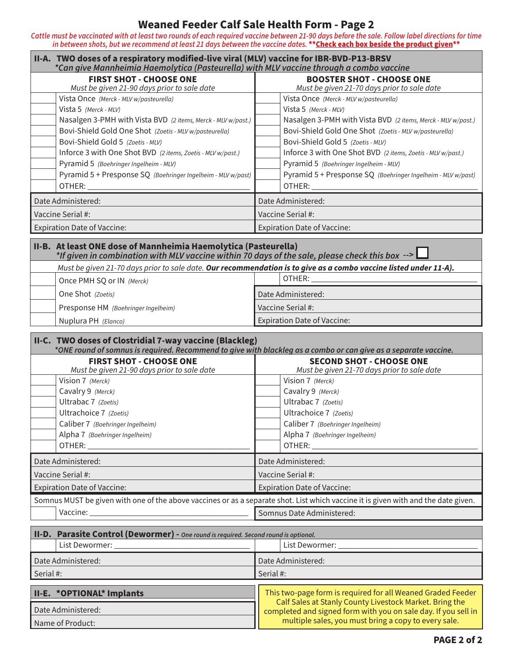## **Weaned Feeder Calf Sale Health Form - Page 2**

*Cattle must be vaccinated with at least two rounds of each required vaccine between 21-90 days before the sale. Follow label directions for time*  in between shots, but we recommend at least 21 days between the vaccine dates. \*\*<mark>Check each box beside the product given</mark>\*\*

| II-A. TWO doses of a respiratory modified-live viral (MLV) vaccine for IBR-BVD-P13-BRSV<br>*Can give Mannheimia Haemolytica (Pasteurella) with MLV vaccine through a combo vaccine                                                                                                                                                                                                                      |                                                                                                                                                                                                                                                                                                                                                                                                         |  |
|---------------------------------------------------------------------------------------------------------------------------------------------------------------------------------------------------------------------------------------------------------------------------------------------------------------------------------------------------------------------------------------------------------|---------------------------------------------------------------------------------------------------------------------------------------------------------------------------------------------------------------------------------------------------------------------------------------------------------------------------------------------------------------------------------------------------------|--|
| <b>FIRST SHOT - CHOOSE ONE</b><br>Must be given 21-90 days prior to sale date                                                                                                                                                                                                                                                                                                                           | <b>BOOSTER SHOT - CHOOSE ONE</b><br>Must be given 21-70 days prior to sale date                                                                                                                                                                                                                                                                                                                         |  |
| Vista Once (Merck - MLV w/pasteurella)<br>Vista 5 (Merck - MLV)<br>Nasalgen 3-PMH with Vista BVD (2 items, Merck - MLV w/past.)<br>Bovi-Shield Gold One Shot (Zoetis - MLV w/pasteurella)<br>Bovi-Shield Gold 5 (Zoetis - MLV)<br>Inforce 3 with One Shot BVD (2 items, Zoetis - MLV w/past.)<br>Pyramid 5 (Boehringer Ingelheim - MLV)<br>Pyramid 5 + Presponse SQ (Boehringer Ingelheim - MLV w/past) | Vista Once (Merck - MLV w/pasteurella)<br>Vista 5 (Merck - MLV)<br>Nasalgen 3-PMH with Vista BVD (2 items, Merck - MLV w/past.)<br>Bovi-Shield Gold One Shot (Zoetis - MLV w/pasteurella)<br>Bovi-Shield Gold 5 (Zoetis - MLV)<br>Inforce 3 with One Shot BVD (2 items, Zoetis - MLV w/past.)<br>Pyramid 5 (Boehringer Ingelheim - MLV)<br>Pyramid 5 + Presponse SQ (Boehringer Ingelheim - MLV w/past) |  |
| Date Administered:                                                                                                                                                                                                                                                                                                                                                                                      | Date Administered:                                                                                                                                                                                                                                                                                                                                                                                      |  |
| Vaccine Serial #:                                                                                                                                                                                                                                                                                                                                                                                       | Vaccine Serial #:                                                                                                                                                                                                                                                                                                                                                                                       |  |
| <b>Expiration Date of Vaccine:</b>                                                                                                                                                                                                                                                                                                                                                                      | <b>Expiration Date of Vaccine:</b>                                                                                                                                                                                                                                                                                                                                                                      |  |
| II-B. At least ONE dose of Mannheimia Haemolytica (Pasteurella)<br>*If given in combination with MLV vaccine within 70 days of the sale, please check this box $-$ > $\Box$<br>Must be given 21-70 days prior to sale date. Our recommendation is to give as a combo vaccine listed under 11-A).                                                                                                        |                                                                                                                                                                                                                                                                                                                                                                                                         |  |
| Once PMH SQ or IN (Merck)                                                                                                                                                                                                                                                                                                                                                                               | OTHER:                                                                                                                                                                                                                                                                                                                                                                                                  |  |
| One Shot (Zoetis)                                                                                                                                                                                                                                                                                                                                                                                       | Date Administered:                                                                                                                                                                                                                                                                                                                                                                                      |  |
| Presponse HM (Boehringer Ingelheim)                                                                                                                                                                                                                                                                                                                                                                     | Vaccine Serial #:                                                                                                                                                                                                                                                                                                                                                                                       |  |
| Nuplura PH (Elanco)                                                                                                                                                                                                                                                                                                                                                                                     | <b>Expiration Date of Vaccine:</b>                                                                                                                                                                                                                                                                                                                                                                      |  |
| II-C. TWO doses of Clostridial 7-way vaccine (Blackleg)<br>*ONE round of somnus is required. Recommend to give with blackleg as a combo or can give as a separate vaccine.                                                                                                                                                                                                                              |                                                                                                                                                                                                                                                                                                                                                                                                         |  |
| <b>FIRST SHOT - CHOOSE ONE</b><br>Must be given 21-90 days prior to sale date                                                                                                                                                                                                                                                                                                                           | <b>SECOND SHOT - CHOOSE ONE</b><br>Must be given 21-70 days prior to sale date                                                                                                                                                                                                                                                                                                                          |  |
| Vision 7 (Merck)<br>Cavalry 9 (Merck)<br>Ultrabac 7 (Zoetis)<br>Ultrachoice 7 (Zoetis)<br>Caliber 7 (Boehringer Ingelheim)<br>Alpha 7 (Boehringer Ingelheim)<br>OTHER: WELL ARE A STREET                                                                                                                                                                                                                | Vision 7 (Merck)<br>Cavalry 9 (Merck)<br>Ultrabac 7 (Zoetis)<br>Ultrachoice 7 (Zoetis)<br>Caliber 7 (Boehringer Ingelheim)<br>Alpha 7 (Boehringer Ingelheim)<br>OTHER: Annual Property of the Contract of the Contract of the Contract of the Contract of the Contract of the Contract of the Contract of the Contract of the Contract of the Contract of the Contract of the Contract of the           |  |
| Date Administered:                                                                                                                                                                                                                                                                                                                                                                                      | Date Administered:                                                                                                                                                                                                                                                                                                                                                                                      |  |
| Vaccine Serial #:                                                                                                                                                                                                                                                                                                                                                                                       | Vaccine Serial #:                                                                                                                                                                                                                                                                                                                                                                                       |  |
| <b>Expiration Date of Vaccine:</b>                                                                                                                                                                                                                                                                                                                                                                      | <b>Expiration Date of Vaccine:</b>                                                                                                                                                                                                                                                                                                                                                                      |  |
| Somnus MUST be given with one of the above vaccines or as a separate shot. List which vaccine it is given with and the date given.                                                                                                                                                                                                                                                                      |                                                                                                                                                                                                                                                                                                                                                                                                         |  |
|                                                                                                                                                                                                                                                                                                                                                                                                         | Somnus Date Administered:                                                                                                                                                                                                                                                                                                                                                                               |  |
| II-D. Parasite Control (Dewormer) - One round is required. Second round is optional.                                                                                                                                                                                                                                                                                                                    |                                                                                                                                                                                                                                                                                                                                                                                                         |  |
| Date Administered:                                                                                                                                                                                                                                                                                                                                                                                      | Date Administered:                                                                                                                                                                                                                                                                                                                                                                                      |  |
| Serial #:                                                                                                                                                                                                                                                                                                                                                                                               | Serial #:                                                                                                                                                                                                                                                                                                                                                                                               |  |
| II-E. * OPTIONAL* Implants<br>Date Administered:                                                                                                                                                                                                                                                                                                                                                        | This two-page form is required for all Weaned Graded Feeder<br>Calf Sales at Stanly County Livestock Market. Bring the<br>completed and signed form with you on sale day. If you sell in<br>multiple sales, you must bring a copy to every sale.                                                                                                                                                        |  |
| Name of Product:                                                                                                                                                                                                                                                                                                                                                                                        |                                                                                                                                                                                                                                                                                                                                                                                                         |  |